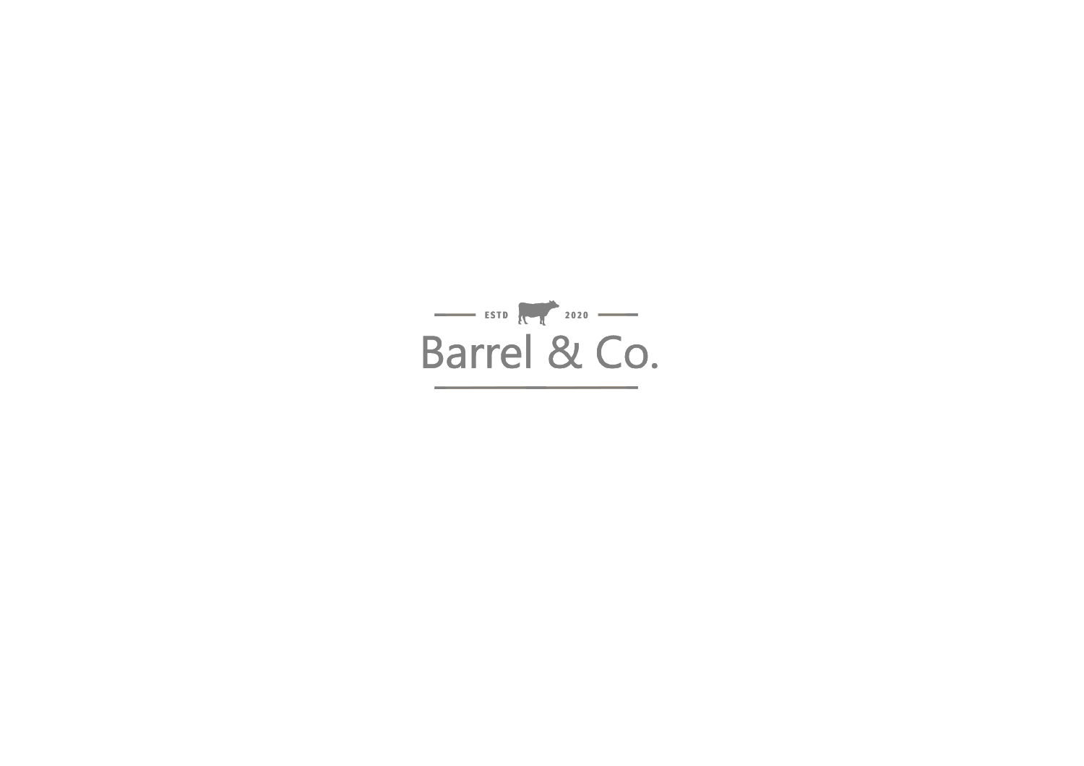